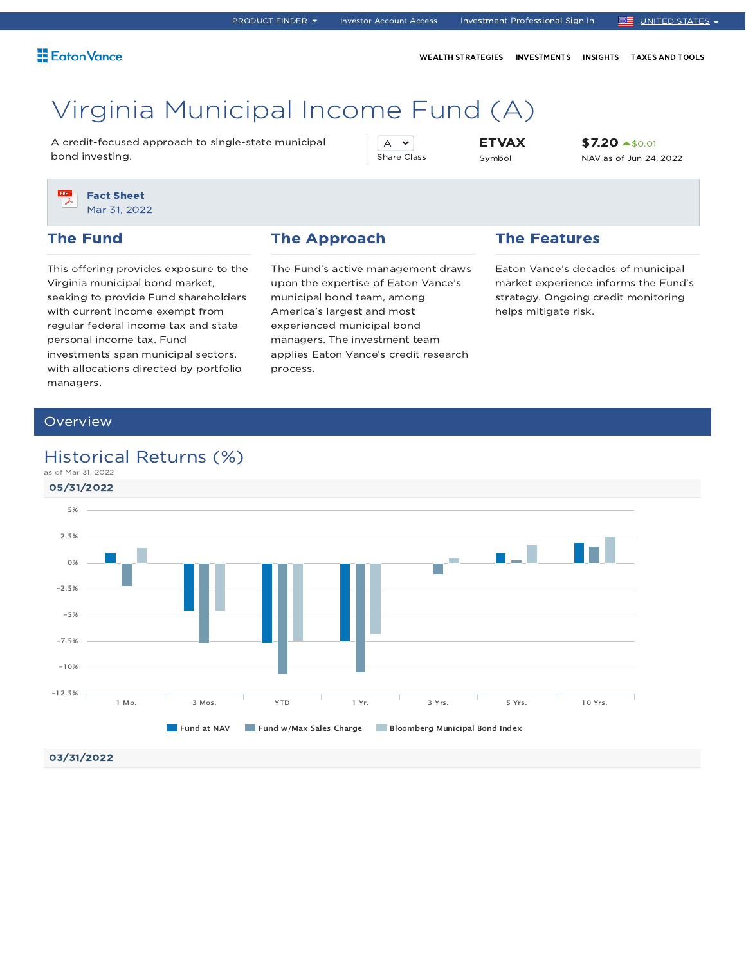WEALTH STRATEGIES INVESTMENTS INSIGHTS TAXES AND TOOLS

# Virginia Municipal Income Fund (A)

A credit-focused approach to single-state municipal bond investing.

A v Share Class ETVAX Symbol

\$7.20  $\blacktriangle$ \$0.01 NAV as of Jun 24, 2022

Fact Sheet Mar 31, 2022

### The Fund

This offering provides exposure to the Virginia municipal bond market, seeking to provide Fund shareholders with current income exempt from regular federal income tax and state personal income tax. Fund investments span municipal sectors, with allocations directed by portfolio managers.

### The Approach

The Fund's active management draws upon the expertise of Eaton Vance's municipal bond team, among America's largest and most experienced municipal bond managers. The investment team applies Eaton Vance's credit research process.

### The Features

Eaton Vance's decades of municipal market experience informs the Fund's strategy. Ongoing credit monitoring helps mitigate risk.

### Overview

### Historical Returns (%)

05/31/2022 03/31/2022 as of Mar 31, 2022 **Fund at NAV Fund w/Max Sales Charge Fund Bloomberg Municipal Bond Index** 1 Mo. 3 Mos. YTD 1 Yr. 3 Yrs. 5 Yrs. 10 Yrs. -12.5% -10% -7.5% -5%  $-2.5%$ 0% 2.5% 5%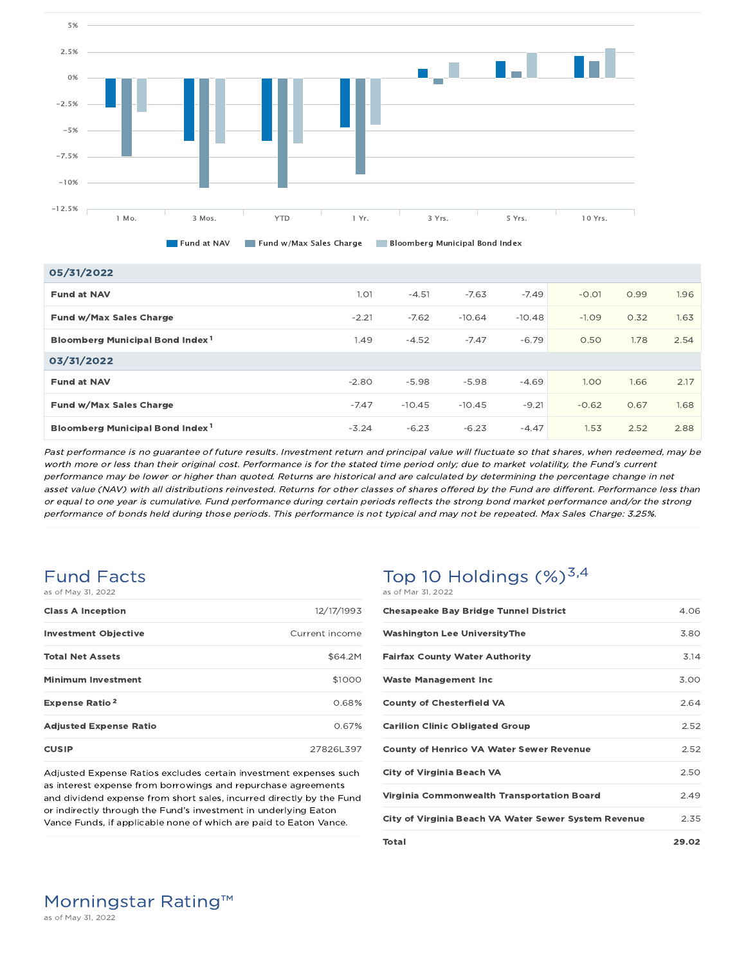

**Fund at NAV Fund w/Max Sales Charge Fund Bloomberg Municipal Bond Index** 

| 05/31/2022                                  |         |          |          |          |         |      |      |
|---------------------------------------------|---------|----------|----------|----------|---------|------|------|
| <b>Fund at NAV</b>                          | 1.01    | $-4.51$  | $-7.63$  | $-7.49$  | $-0.01$ | 0.99 | 1.96 |
| Fund w/Max Sales Charge                     | $-2.21$ | $-7.62$  | $-10.64$ | $-10.48$ | $-1.09$ | 0.32 | 1.63 |
| Bloomberg Municipal Bond Index <sup>1</sup> | 1.49    | $-4.52$  | $-7.47$  | $-6.79$  | 0.50    | 1.78 | 2.54 |
| 03/31/2022                                  |         |          |          |          |         |      |      |
| <b>Fund at NAV</b>                          | $-2.80$ | $-5.98$  | $-5.98$  | $-4.69$  | 1.00    | 1.66 | 2.17 |
| Fund w/Max Sales Charge                     | $-7.47$ | $-10.45$ | $-10.45$ | $-9.21$  | $-0.62$ | 0.67 | 1.68 |
| Bloomberg Municipal Bond Index <sup>1</sup> | $-3.24$ | $-6.23$  | $-6.23$  | $-4.47$  | 1.53    | 2.52 | 2.88 |

Past performance is no guarantee of future results. Investment return and principal value will fluctuate so that shares, when redeemed, may be worth more or less than their original cost. Performance is for the stated time period only; due to market volatility, the Fund's current performance may be lower or higher than quoted. Returns are historical and are calculated by determining the percentage change in net asset value (NAV) with all distributions reinvested. Returns for other classes of shares offered by the Fund are different. Performance less than or equal to one year is cumulative. Fund performance during certain periods reflects the strong bond market performance and/or the strong performance of bonds held during those periods. This performance is not typical and may not be repeated. Max Sales Charge: 3.25%.

### Fund Facts as of May 31, 2022

| <b>Class A Inception</b>         | 12/17/1993     |
|----------------------------------|----------------|
| <b>Investment Objective</b>      | Current income |
| <b>Total Net Assets</b>          | \$64.2M        |
| <b>Minimum Investment</b>        | \$1000         |
| <b>Expense Ratio<sup>2</sup></b> | 0.68%          |
| <b>Adjusted Expense Ratio</b>    | 0.67%          |
| <b>CUSIP</b>                     | 27826L397      |

Adjusted Expense Ratios excludes certain investment expenses such as interest expense from borrowings and repurchase agreements and dividend expense from short sales, incurred directly by the Fund or indirectly through the Fund's investment in underlying Eaton Vance Funds, if applicable none of which are paid to Eaton Vance.

### Top 10 Holdings  $(\%)^{3,4}$ as of Mar 31, 2022

| <b>Chesapeake Bay Bridge Tunnel District</b>         | 4.06  |
|------------------------------------------------------|-------|
| <b>Washington Lee UniversityThe</b>                  | 380   |
| <b>Fairfax County Water Authority</b>                | 3.14  |
| <b>Waste Management Inc.</b>                         | 3.00  |
| <b>County of Chesterfield VA</b>                     | 2.64  |
| <b>Carilion Clinic Obligated Group</b>               | 2.52  |
| <b>County of Henrico VA Water Sewer Revenue</b>      | 2.52  |
| <b>City of Virginia Beach VA</b>                     | 2.50  |
| Virginia Commonwealth Transportation Board           | 249   |
| City of Virginia Beach VA Water Sewer System Revenue | 2.35  |
| <b>Total</b>                                         | 29.02 |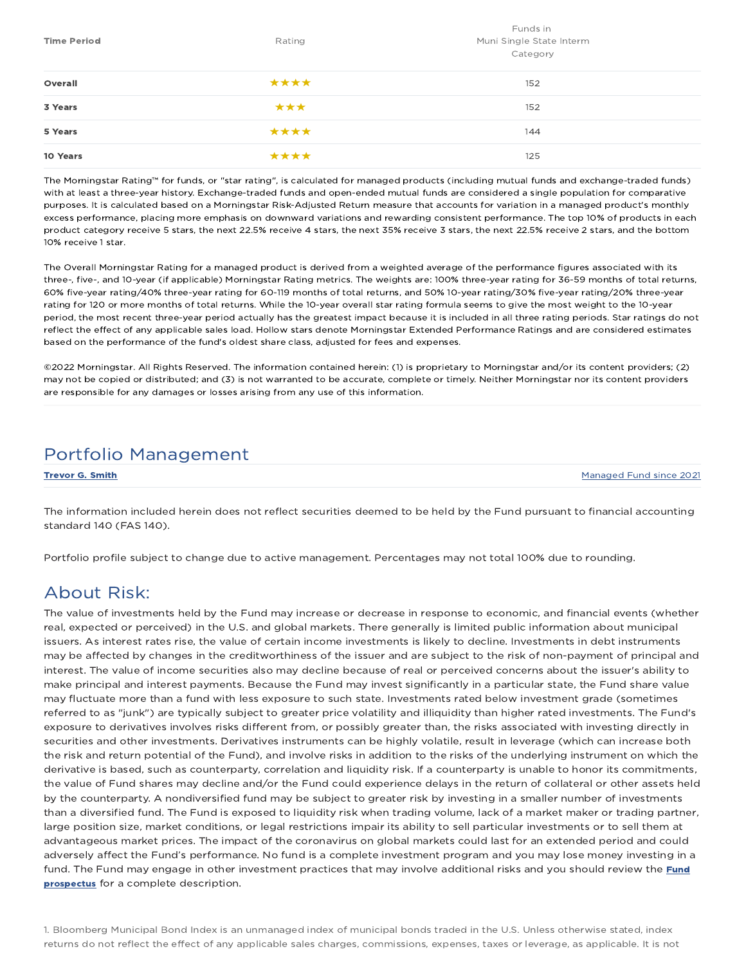| <b>Time Period</b> | Rating | Funds in<br>Muni Single State Interm<br>Category |
|--------------------|--------|--------------------------------------------------|
| Overall            | ****   | 152                                              |
| 3 Years            | ***    | 152                                              |
| 5 Years            | ****   | 144                                              |
| 10 Years           | ****   | 125                                              |

The Morningstar Rating™ for funds, or "star rating", is calculated for managed products (including mutual funds and exchange-traded funds) with at least a three-year history. Exchange-traded funds and open-ended mutual funds are considered a single population for comparative purposes. It is calculated based on a Morningstar Risk-Adjusted Return measure that accounts for variation in a managed product's monthly excess performance, placing more emphasis on downward variations and rewarding consistent performance. The top 10% of products in each product category receive 5 stars, the next 22.5% receive 4 stars, the next 35% receive 3 stars, the next 22.5% receive 2 stars, and the bottom 10% receive 1 star.

The Overall Morningstar Rating for a managed product is derived from a weighted average of the performance figures associated with its three-, five-, and 10-year (if applicable) Morningstar Rating metrics. The weights are: 100% three-year rating for 36-59 months of total returns, 60% five-year rating/40% three-year rating for 60-119 months of total returns, and 50% 10-year rating/30% five-year rating/20% three-year rating for 120 or more months of total returns. While the 10-year overall star rating formula seems to give the most weight to the 10-year period, the most recent three-year period actually has the greatest impact because it is included in all three rating periods. Star ratings do not reflect the effect of any applicable sales load. Hollow stars denote Morningstar Extended Performance Ratings and are considered estimates based on the performance of the fund's oldest share class, adjusted for fees and expenses.

©2022 Morningstar. All Rights Reserved. The information contained herein: (1) is proprietary to Morningstar and/or its content providers; (2) may not be copied or distributed; and (3) is not warranted to be accurate, complete or timely. Neither Morningstar nor its content providers are responsible for any damages or losses arising from any use of this information.

### Portfolio Management

**Trevor G. Smith Managed Fund since 2021** Managed Fund since 2021

The information included herein does not reflect securities deemed to be held by the Fund pursuant to financial accounting standard 140 (FAS 140).

Portfolio profile subject to change due to active management. Percentages may not total 100% due to rounding.

### About Risk:

The value of investments held by the Fund may increase or decrease in response to economic, and financial events (whether real, expected or perceived) in the U.S. and global markets. There generally is limited public information about municipal issuers. As interest rates rise, the value of certain income investments is likely to decline. Investments in debt instruments may be affected by changes in the creditworthiness of the issuer and are subject to the risk of non-payment of principal and interest. The value of income securities also may decline because of real or perceived concerns about the issuer's ability to make principal and interest payments. Because the Fund may invest significantly in a particular state, the Fund share value may fluctuate more than a fund with less exposure to such state. Investments rated below investment grade (sometimes referred to as "junk") are typically subject to greater price volatility and illiquidity than higher rated investments. The Fund's exposure to derivatives involves risks different from, or possibly greater than, the risks associated with investing directly in securities and other investments. Derivatives instruments can be highly volatile, result in leverage (which can increase both the risk and return potential of the Fund), and involve risks in addition to the risks of the underlying instrument on which the derivative is based, such as counterparty, correlation and liquidity risk. If a counterparty is unable to honor its commitments, the value of Fund shares may decline and/or the Fund could experience delays in the return of collateral or other assets held by the counterparty. A nondiversified fund may be subject to greater risk by investing in a smaller number of investments than a diversified fund. The Fund is exposed to liquidity risk when trading volume, lack of a market maker or trading partner, large position size, market conditions, or legal restrictions impair its ability to sell particular investments or to sell them at advantageous market prices. The impact of the coronavirus on global markets could last for an extended period and could adversely affect the Fund's performance. No fund is a complete investment program and you may lose money investing in a fund. The Fund may engage in other investment practices that may involve additional risks and you should review the Fund prospectus for a complete description.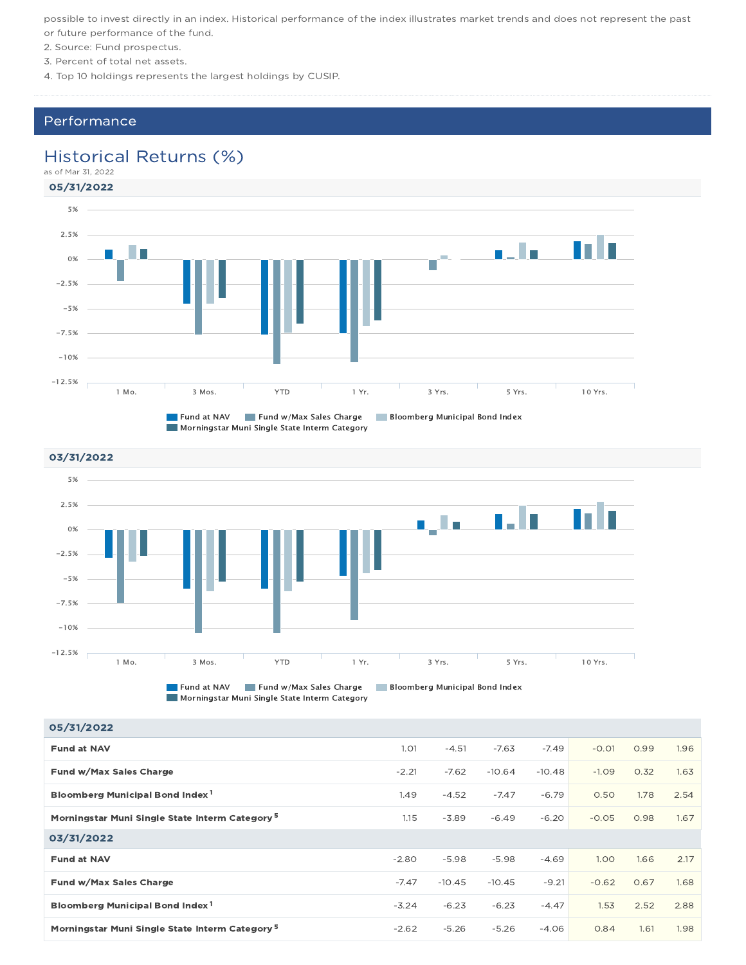possible to invest directly in an index. Historical performance of the index illustrates market trends and does not represent the past or future performance of the fund.

- 2. Source: Fund prospectus.
- 3. Percent of total net assets.
- 4. Top 10 holdings represents the largest holdings by CUSIP.

### Performance

### Historical Returns (%)

05/31/2022 as of Mar 31, 2022





Morningstar Muni Single State Interm Category

#### 05/31/2022

| <b>Fund at NAV</b>                                         | 1.01    | $-4.51$  | $-7.63$  | $-7.49$  | $-0.01$ | 0.99 | 1.96 |
|------------------------------------------------------------|---------|----------|----------|----------|---------|------|------|
| Fund w/Max Sales Charge                                    | $-2.21$ | $-7.62$  | $-10.64$ | $-10.48$ | $-1.09$ | 0.32 | 1.63 |
| Bloomberg Municipal Bond Index <sup>1</sup>                | 1.49    | $-4.52$  | $-7.47$  | $-6.79$  | 0.50    | 1.78 | 2.54 |
| Morningstar Muni Single State Interm Category <sup>5</sup> | 1.15    | $-3.89$  | $-6.49$  | $-6.20$  | $-0.05$ | 0.98 | 1.67 |
| 03/31/2022                                                 |         |          |          |          |         |      |      |
| <b>Fund at NAV</b>                                         | $-2.80$ | $-5.98$  | $-5.98$  | $-4.69$  | 1.00    | 1.66 | 2.17 |
| Fund w/Max Sales Charge                                    | $-7.47$ | $-10.45$ | $-10.45$ | $-9.21$  | $-0.62$ | 0.67 | 1.68 |
| Bloomberg Municipal Bond Index <sup>1</sup>                | $-3.24$ | $-6.23$  | $-6.23$  | $-4.47$  | 1.53    | 2.52 | 2.88 |
| Morningstar Muni Single State Interm Category <sup>5</sup> | $-2.62$ | $-5.26$  | $-5.26$  | $-4.06$  | 0.84    | 1.61 | 1.98 |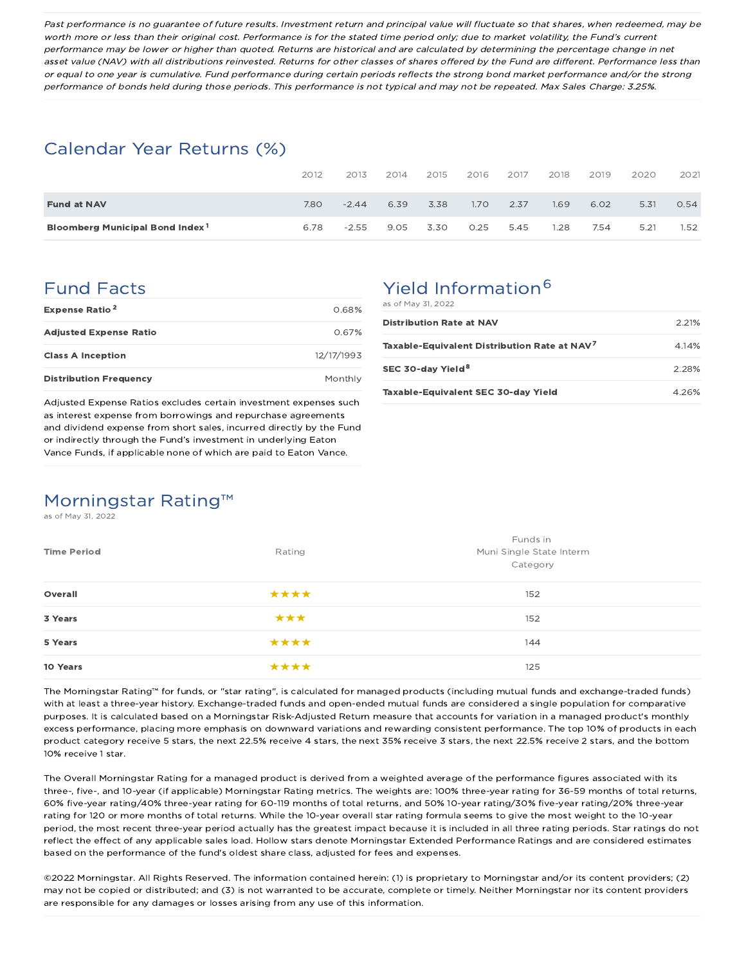Past performance is no guarantee of future results. Investment return and principal value will fluctuate so that shares, when redeemed, may be worth more or less than their original cost. Performance is for the stated time period only; due to market volatility, the Fund's current performance may be lower or higher than quoted. Returns are historical and are calculated by determining the percentage change in net asset value (NAV) with all distributions reinvested. Returns for other classes of shares offered by the Fund are different. Performance less than or equal to one year is cumulative. Fund performance during certain periods reflects the strong bond market performance and/or the strong performance of bonds held during those periods. This performance is not typical and may not be repeated. Max Sales Charge: 3.25%.

### Calendar Year Returns (%)

|                                             | 2012 | 2013    | 2014 | 2015 | 2016              | 2017 | 2018 | 2019 | 2020 | 2021 |
|---------------------------------------------|------|---------|------|------|-------------------|------|------|------|------|------|
| <b>Fund at NAV</b>                          | 7.80 | $-2.44$ | 6.39 | 3.38 | 1.70 <sub>2</sub> | 2.37 | 1.69 | 6.02 | 5.31 | 0.54 |
| Bloomberg Municipal Bond Index <sup>1</sup> | 6.78 | $-2.55$ | 9.05 | 3.30 | 0.25              | 5.45 | 1.28 | 7.54 | 5.21 | 1.52 |

### Fund Facts

| <b>Expense Ratio<sup>2</sup></b> | 0.68%      |
|----------------------------------|------------|
| <b>Adjusted Expense Ratio</b>    | O 67%      |
| <b>Class A Inception</b>         | 12/17/1993 |
| <b>Distribution Frequency</b>    | Monthly    |

Adjusted Expense Ratios excludes certain investment expenses such as interest expense from borrowings and repurchase agreements and dividend expense from short sales, incurred directly by the Fund or indirectly through the Fund's investment in underlying Eaton Vance Funds, if applicable none of which are paid to Eaton Vance.

# Yield Information<sup>6</sup>

as of May 31, 2022

| <b>Distribution Rate at NAV</b>                          | $2.21\%$ |
|----------------------------------------------------------|----------|
| Taxable-Equivalent Distribution Rate at NAV <sup>7</sup> | 4.14%    |
| SEC 30-day Yield <sup>8</sup>                            | 228%     |
| Taxable-Equivalent SEC 30-day Yield                      | 4.26%    |

# Morningstar Rating™

as of May 31, 2022

| <b>Time Period</b> | Rating | Funds in<br>Muni Single State Interm<br>Category |  |  |
|--------------------|--------|--------------------------------------------------|--|--|
| Overall            | ****   | 152                                              |  |  |
| 3 Years            | ***    | 152                                              |  |  |
| 5 Years            | ****   | 144                                              |  |  |
| 10 Years           | ****   | 125                                              |  |  |

The Morningstar Rating™ for funds, or "star rating", is calculated for managed products (including mutual funds and exchange-traded funds) with at least a three-year history. Exchange-traded funds and open-ended mutual funds are considered a single population for comparative purposes. It is calculated based on a Morningstar Risk-Adjusted Return measure that accounts for variation in a managed product's monthly excess performance, placing more emphasis on downward variations and rewarding consistent performance. The top 10% of products in each product category receive 5 stars, the next 22.5% receive 4 stars, the next 35% receive 3 stars, the next 22.5% receive 2 stars, and the bottom 10% receive 1 star.

The Overall Morningstar Rating for a managed product is derived from a weighted average of the performance figures associated with its three-, five-, and 10-year (if applicable) Morningstar Rating metrics. The weights are: 100% three-year rating for 36-59 months of total returns, 60% five-year rating/40% three-year rating for 60-119 months of total returns, and 50% 10-year rating/30% five-year rating/20% three-year rating for 120 or more months of total returns. While the 10-year overall star rating formula seems to give the most weight to the 10-year period, the most recent three-year period actually has the greatest impact because it is included in all three rating periods. Star ratings do not reflect the effect of any applicable sales load. Hollow stars denote Morningstar Extended Performance Ratings and are considered estimates based on the performance of the fund's oldest share class, adjusted for fees and expenses.

©2022 Morningstar. All Rights Reserved. The information contained herein: (1) is proprietary to Morningstar and/or its content providers; (2) may not be copied or distributed; and (3) is not warranted to be accurate, complete or timely. Neither Morningstar nor its content providers are responsible for any damages or losses arising from any use of this information.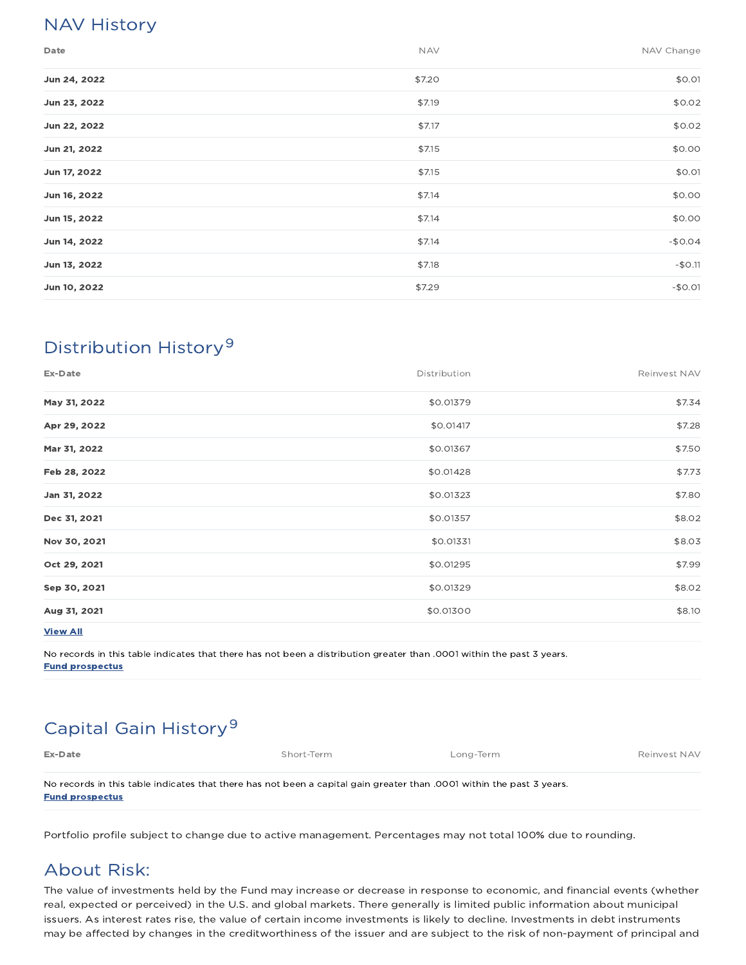## NAV History

| Date         | <b>NAV</b> | NAV Change |
|--------------|------------|------------|
| Jun 24, 2022 | \$7.20     | \$0.01     |
| Jun 23, 2022 | \$7.19     | \$0.02     |
| Jun 22, 2022 | \$7.17     | \$0.02     |
| Jun 21, 2022 | \$7.15     | \$0.00     |
| Jun 17, 2022 | \$7.15     | \$0.01     |
| Jun 16, 2022 | \$7.14     | \$0.00     |
| Jun 15, 2022 | \$7.14     | \$0.00     |
| Jun 14, 2022 | \$7.14     | $-$0.04$   |
| Jun 13, 2022 | \$7.18     | $-$0.11$   |
| Jun 10, 2022 | \$7.29     | $-$0.01$   |

# Distribution History 9

| Ex-Date      | Distribution | Reinvest NAV |
|--------------|--------------|--------------|
| May 31, 2022 | \$0.01379    | \$7.34       |
| Apr 29, 2022 | \$0.01417    | \$7.28       |
| Mar 31, 2022 | \$0.01367    | \$7.50       |
| Feb 28, 2022 | \$0.01428    | \$7.73       |
| Jan 31, 2022 | \$0.01323    | \$7.80       |
| Dec 31, 2021 | \$0.01357    | \$8.02       |
| Nov 30, 2021 | \$0.01331    | \$8.03       |
| Oct 29, 2021 | \$0.01295    | \$7.99       |
| Sep 30, 2021 | \$0.01329    | \$8.02       |
| Aug 31, 2021 | \$0.01300    | \$8.10       |
|              |              |              |

View All

No records in this table indicates that there has not been a distribution greater than .0001 within the past 3 years. Fund prospectus

# Capital Gain History<sup>9</sup>

| Ex-Date                                                                                                               | Short-Term | Long-Term | Reinvest NAV |  |  |  |
|-----------------------------------------------------------------------------------------------------------------------|------------|-----------|--------------|--|--|--|
|                                                                                                                       |            |           |              |  |  |  |
| No records in this table indicates that there has not been a capital gain greater than .0001 within the past 3 years. |            |           |              |  |  |  |
| <b>Fund prospectus</b>                                                                                                |            |           |              |  |  |  |

Portfolio profile subject to change due to active management. Percentages may not total 100% due to rounding.

## About Risk:

The value of investments held by the Fund may increase or decrease in response to economic, and financial events (whether real, expected or perceived) in the U.S. and global markets. There generally is limited public information about municipal issuers. As interest rates rise, the value of certain income investments is likely to decline. Investments in debt instruments may be affected by changes in the creditworthiness of the issuer and are subject to the risk of non-payment of principal and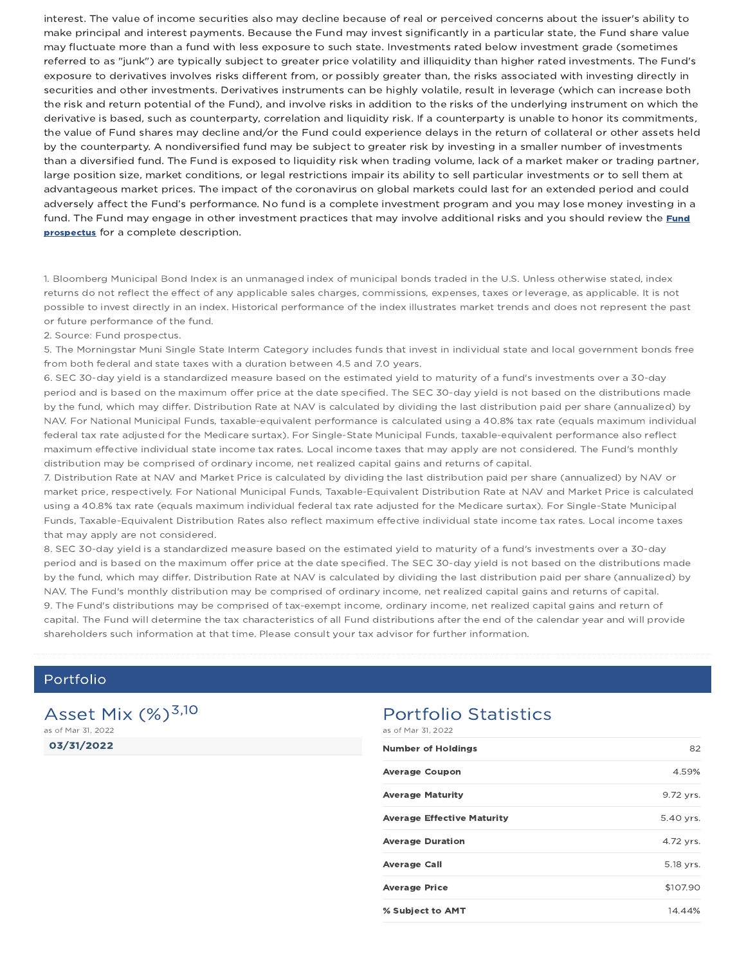interest. The value of income securities also may decline because of real or perceived concerns about the issuer's ability to make principal and interest payments. Because the Fund may invest significantly in a particular state, the Fund share value may fluctuate more than a fund with less exposure to such state. Investments rated below investment grade (sometimes referred to as "junk") are typically subject to greater price volatility and illiquidity than higher rated investments. The Fund's exposure to derivatives involves risks different from, or possibly greater than, the risks associated with investing directly in securities and other investments. Derivatives instruments can be highly volatile, result in leverage (which can increase both the risk and return potential of the Fund), and involve risks in addition to the risks of the underlying instrument on which the derivative is based, such as counterparty, correlation and liquidity risk. If a counterparty is unable to honor its commitments, the value of Fund shares may decline and/or the Fund could experience delays in the return of collateral or other assets held by the counterparty. A nondiversified fund may be subject to greater risk by investing in a smaller number of investments than a diversified fund. The Fund is exposed to liquidity risk when trading volume, lack of a market maker or trading partner, large position size, market conditions, or legal restrictions impair its ability to sell particular investments or to sell them at advantageous market prices. The impact of the coronavirus on global markets could last for an extended period and could adversely affect the Fund's performance. No fund is a complete investment program and you may lose money investing in a fund. The Fund may engage in other investment practices that may involve additional risks and you should review the Fund prospectus for a complete description.

1. Bloomberg Municipal Bond Index is an unmanaged index of municipal bonds traded in the U.S. Unless otherwise stated, index returns do not reflect the effect of any applicable sales charges, commissions, expenses, taxes or leverage, as applicable. It is not possible to invest directly in an index. Historical performance of the index illustrates market trends and does not represent the past or future performance of the fund.

2. Source: Fund prospectus.

5. The Morningstar Muni Single State Interm Category includes funds that invest in individual state and local government bonds free from both federal and state taxes with a duration between 4.5 and 7.0 years.

6. SEC 30-day yield is a standardized measure based on the estimated yield to maturity of a fund's investments over a 30-day period and is based on the maximum offer price at the date specified. The SEC 30-day yield is not based on the distributions made by the fund, which may differ. Distribution Rate at NAV is calculated by dividing the last distribution paid per share (annualized) by NAV. For National Municipal Funds, taxable-equivalent performance is calculated using a 40.8% tax rate (equals maximum individual federal tax rate adjusted for the Medicare surtax). For Single-State Municipal Funds, taxable-equivalent performance also reflect maximum effective individual state income tax rates. Local income taxes that may apply are not considered. The Fund's monthly distribution may be comprised of ordinary income, net realized capital gains and returns of capital.

7. Distribution Rate at NAV and Market Price is calculated by dividing the last distribution paid per share (annualized) by NAV or market price, respectively. For National Municipal Funds, Taxable-Equivalent Distribution Rate at NAV and Market Price is calculated using a 40.8% tax rate (equals maximum individual federal tax rate adjusted for the Medicare surtax). For Single-State Municipal Funds, Taxable-Equivalent Distribution Rates also reflect maximum effective individual state income tax rates. Local income taxes that may apply are not considered.

8. SEC 30-day yield is a standardized measure based on the estimated yield to maturity of a fund's investments over a 30-day period and is based on the maximum offer price at the date specified. The SEC 30-day yield is not based on the distributions made by the fund, which may differ. Distribution Rate at NAV is calculated by dividing the last distribution paid per share (annualized) by NAV. The Fund's monthly distribution may be comprised of ordinary income, net realized capital gains and returns of capital. 9. The Fund's distributions may be comprised of tax-exempt income, ordinary income, net realized capital gains and return of capital. The Fund will determine the tax characteristics of all Fund distributions after the end of the calendar year and will provide shareholders such information at that time. Please consult your tax advisor for further information.

### Portfolio

03/31/2022 Asset Mix  $(\%)^{3,10}$ as of Mar 31, 2022

#### Portfolio Statistics as of Mar 31, 2022

| <b>Number of Holdings</b>         | 82        |
|-----------------------------------|-----------|
| <b>Average Coupon</b>             | 4.59%     |
| <b>Average Maturity</b>           | 9.72 yrs. |
| <b>Average Effective Maturity</b> | 5.40 yrs. |
| <b>Average Duration</b>           | 4.72 yrs. |
| <b>Average Call</b>               | 5.18 yrs. |
| <b>Average Price</b>              | \$107.90  |
| % Subject to AMT                  | 14.44%    |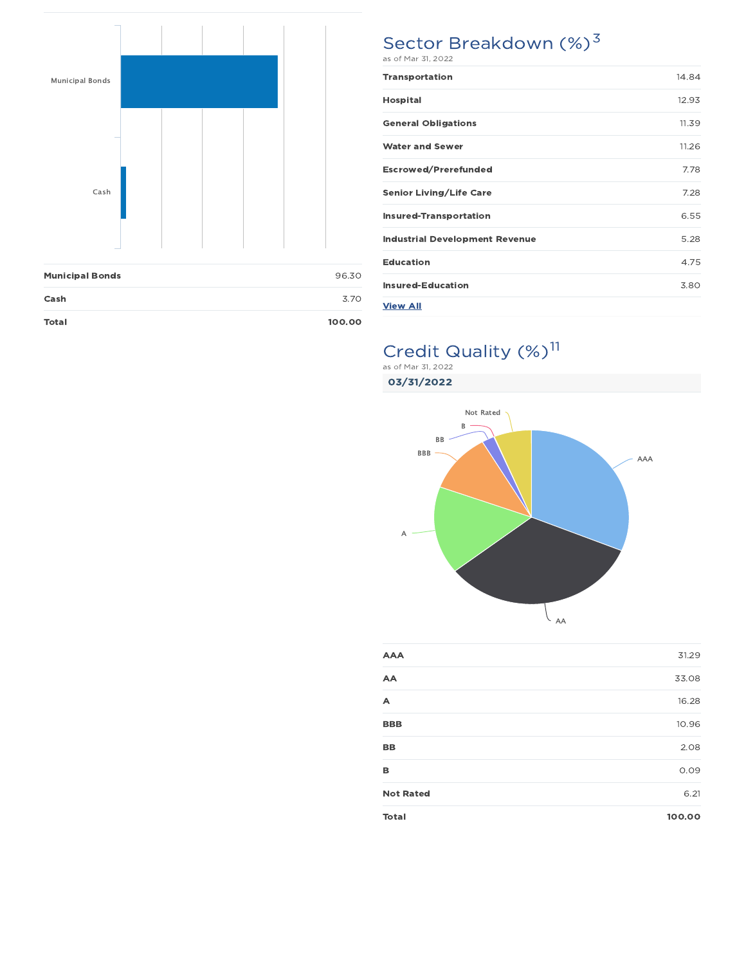

| <b>Total</b>           | 100.00 |
|------------------------|--------|
| Cash                   | 3.70   |
| <b>Municipal Bonds</b> | 96.30  |

# Sector Breakdown (%)<sup>3</sup>

| <b>Transportation</b>                 | 14.84 |
|---------------------------------------|-------|
| <b>Hospital</b>                       | 12.93 |
| <b>General Obligations</b>            | 11.39 |
| <b>Water and Sewer</b>                | 11.26 |
| <b>Escrowed/Prerefunded</b>           | 7.78  |
| <b>Senior Living/Life Care</b>        | 7.28  |
| <b>Insured-Transportation</b>         | 6.55  |
| <b>Industrial Development Revenue</b> | 5.28  |
| <b>Education</b>                      | 4.75  |
| <b>Insured-Education</b>              | 3.80  |
| <b>View All</b>                       |       |

# Credit Quality (%)<sup>11</sup>

03/31/2022 as of Mar 31, 2022



| <b>Total</b>     | 100.00 |
|------------------|--------|
| <b>Not Rated</b> | 6.21   |
| в                | 0.09   |
| <b>BB</b>        | 2.08   |
| <b>BBB</b>       | 10.96  |
| A                | 16.28  |
| AA               | 33.08  |
| <b>AAA</b>       | 31.29  |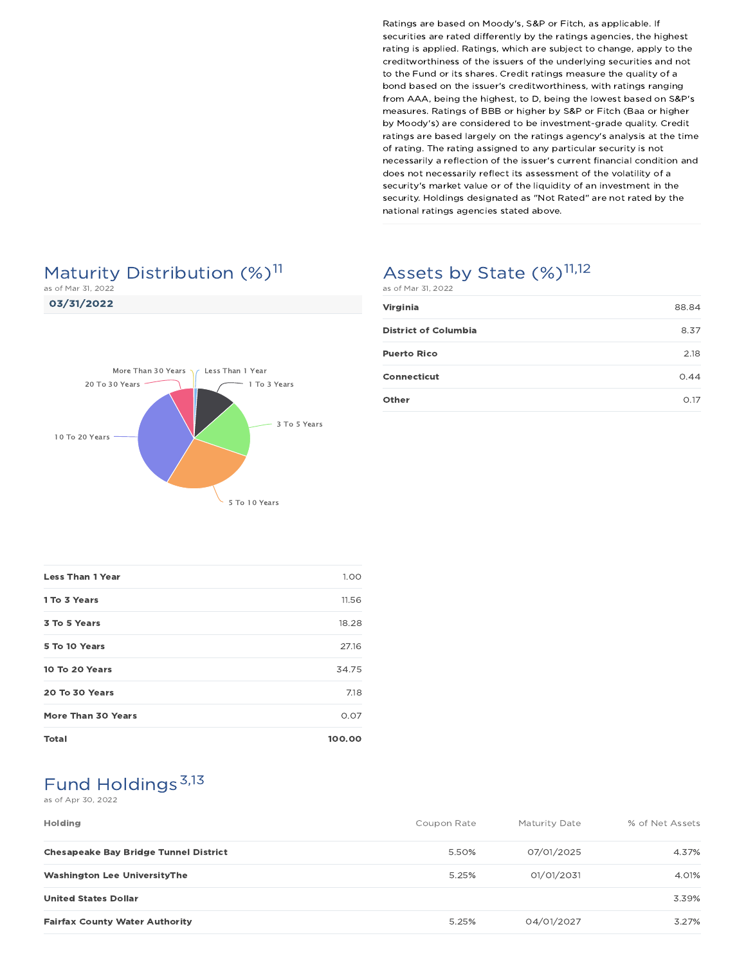# Maturity Distribution (%)<sup>11</sup>

as of Mar 31, 2022





# Assets by State (%)<sup>11,12</sup>

Virginia 88.84 District of Columbia 8.37 Puerto Rico 2.18 Connecticut 0.44 Other 0.17 as of Mar 31, 2022

| <b>Less Than 1 Year</b>   | 1.00   |
|---------------------------|--------|
| 1 To 3 Years              | 11.56  |
| 3 To 5 Years              | 18.28  |
| 5 To 10 Years             | 27.16  |
| 10 To 20 Years            | 34.75  |
| 20 To 30 Years            | 7.18   |
| <b>More Than 30 Years</b> | 0.07   |
| <b>Total</b>              | 100.00 |

# Fund Holdings<sup>3,13</sup>

#### as of Apr 30, 2022

| <b>Holding</b>                               | Coupon Rate | Maturity Date | % of Net Assets |
|----------------------------------------------|-------------|---------------|-----------------|
| <b>Chesapeake Bay Bridge Tunnel District</b> | 5.50%       | 07/01/2025    | 4.37%           |
| <b>Washington Lee UniversityThe</b>          | 5.25%       | 01/01/2031    | 4.01%           |
| <b>United States Dollar</b>                  |             |               | 3.39%           |
| <b>Fairfax County Water Authority</b>        | 5.25%       | 04/01/2027    | 3.27%           |

Ratings are based on Moody's, S&P or Fitch, as applicable. If securities are rated differently by the ratings agencies, the highest rating is applied. Ratings, which are subject to change, apply to the creditworthiness of the issuers of the underlying securities and not to the Fund or its shares. Credit ratings measure the quality of a bond based on the issuer's creditworthiness, with ratings ranging from AAA, being the highest, to D, being the lowest based on S&P's measures. Ratings of BBB or higher by S&P or Fitch (Baa or higher by Moody's) are considered to be investment-grade quality. Credit ratings are based largely on the ratings agency's analysis at the time of rating. The rating assigned to any particular security is not necessarily a reflection of the issuer's current financial condition and does not necessarily reflect its assessment of the volatility of a security's market value or of the liquidity of an investment in the security. Holdings designated as "Not Rated" are not rated by the national ratings agencies stated above.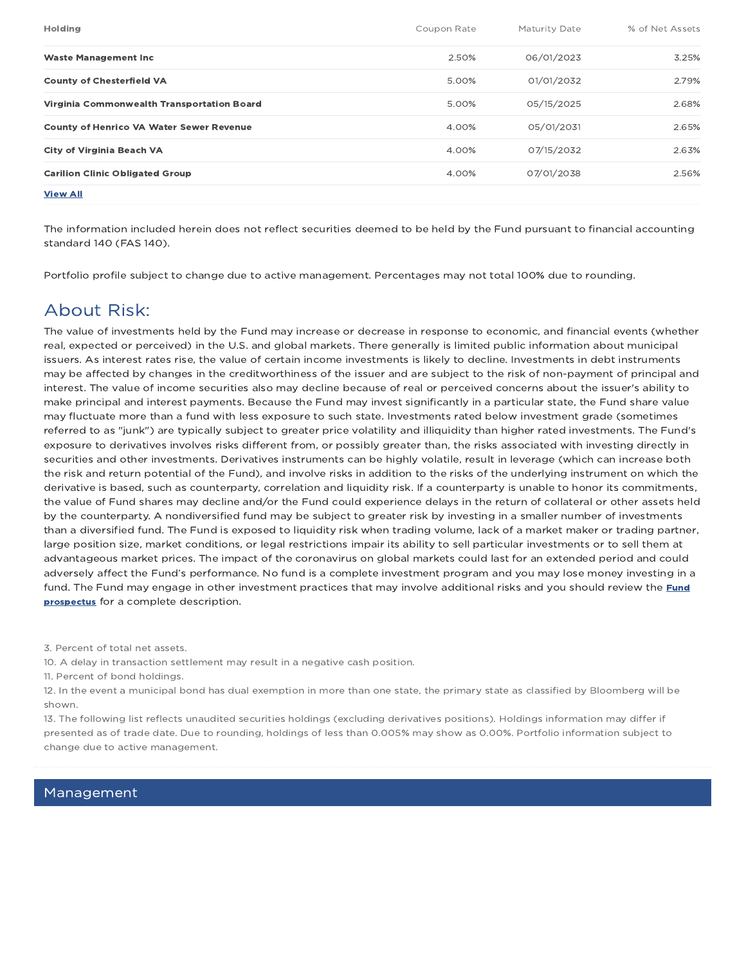| <b>Holding</b>                                  | Coupon Rate | Maturity Date | % of Net Assets |
|-------------------------------------------------|-------------|---------------|-----------------|
| <b>Waste Management Inc.</b>                    | 2.50%       | 06/01/2023    | 3.25%           |
| <b>County of Chesterfield VA</b>                | 5.00%       | 01/01/2032    | 2.79%           |
| Virginia Commonwealth Transportation Board      | 5.00%       | 05/15/2025    | 2.68%           |
| <b>County of Henrico VA Water Sewer Revenue</b> | 4.00%       | 05/01/2031    | 2.65%           |
| <b>City of Virginia Beach VA</b>                | 4.00%       | 07/15/2032    | 2.63%           |
| <b>Carilion Clinic Obligated Group</b>          | 4.00%       | 07/01/2038    | 2.56%           |
| <b>View All</b>                                 |             |               |                 |

The information included herein does not reflect securities deemed to be held by the Fund pursuant to financial accounting standard 140 (FAS 140).

Portfolio profile subject to change due to active management. Percentages may not total 100% due to rounding.

### About Risk:

The value of investments held by the Fund may increase or decrease in response to economic, and financial events (whether real, expected or perceived) in the U.S. and global markets. There generally is limited public information about municipal issuers. As interest rates rise, the value of certain income investments is likely to decline. Investments in debt instruments may be affected by changes in the creditworthiness of the issuer and are subject to the risk of non-payment of principal and interest. The value of income securities also may decline because of real or perceived concerns about the issuer's ability to make principal and interest payments. Because the Fund may invest significantly in a particular state, the Fund share value may fluctuate more than a fund with less exposure to such state. Investments rated below investment grade (sometimes referred to as "junk") are typically subject to greater price volatility and illiquidity than higher rated investments. The Fund's exposure to derivatives involves risks different from, or possibly greater than, the risks associated with investing directly in securities and other investments. Derivatives instruments can be highly volatile, result in leverage (which can increase both the risk and return potential of the Fund), and involve risks in addition to the risks of the underlying instrument on which the derivative is based, such as counterparty, correlation and liquidity risk. If a counterparty is unable to honor its commitments, the value of Fund shares may decline and/or the Fund could experience delays in the return of collateral or other assets held by the counterparty. A nondiversified fund may be subject to greater risk by investing in a smaller number of investments than a diversified fund. The Fund is exposed to liquidity risk when trading volume, lack of a market maker or trading partner, large position size, market conditions, or legal restrictions impair its ability to sell particular investments or to sell them at advantageous market prices. The impact of the coronavirus on global markets could last for an extended period and could adversely affect the Fund's performance. No fund is a complete investment program and you may lose money investing in a fund. The Fund may engage in other investment practices that may involve additional risks and you should review the Fund prospectus for a complete description.

3. Percent of total net assets.

10. A delay in transaction settlement may result in a negative cash position.

11. Percent of bond holdings.

12. In the event a municipal bond has dual exemption in more than one state, the primary state as classified by Bloomberg will be shown.

13. The following list reflects unaudited securities holdings (excluding derivatives positions). Holdings information may differ if presented as of trade date. Due to rounding, holdings of less than 0.005% may show as 0.00%. Portfolio information subject to change due to active management.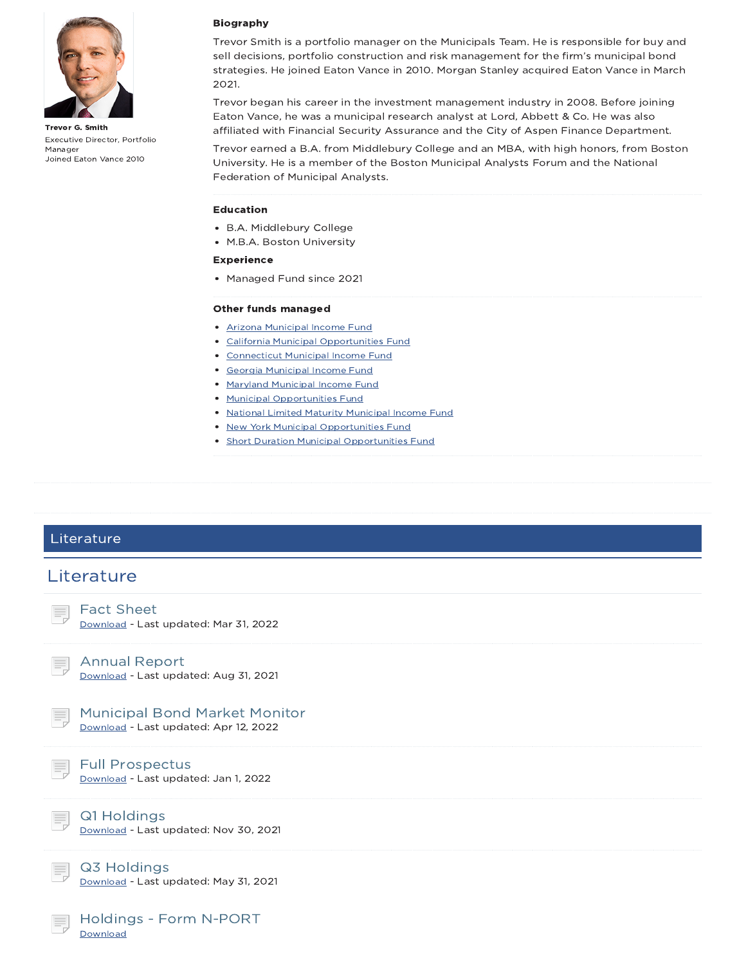

Trevor G. Smith Executive Director, Portfolio Manager Joined Eaton Vance 2010

#### Biography

Trevor Smith is a portfolio manager on the Municipals Team. He is responsible for buy and sell decisions, portfolio construction and risk management for the firm's municipal bond strategies. He joined Eaton Vance in 2010. Morgan Stanley acquired Eaton Vance in March 2021.

Trevor began his career in the investment management industry in 2008. Before joining Eaton Vance, he was a municipal research analyst at Lord, Abbett & Co. He was also affiliated with Financial Security Assurance and the City of Aspen Finance Department.

Trevor earned a B.A. from Middlebury College and an MBA, with high honors, from Boston University. He is a member of the Boston Municipal Analysts Forum and the National Federation of Municipal Analysts.

#### Education

- B.A. Middlebury College
- M.B.A. Boston University

#### Experience

• Managed Fund since 2021

#### Other funds managed

- Arizona Municipal Income Fund
- California Municipal Opportunities Fund
- Connecticut Municipal Income Fund
- Georgia Municipal Income Fund
- Maryland Municipal Income Fund
- Municipal Opportunities Fund
- National Limited Maturity Municipal Income Fund
- New York Municipal Opportunities Fund
- Short Duration Municipal Opportunities Fund

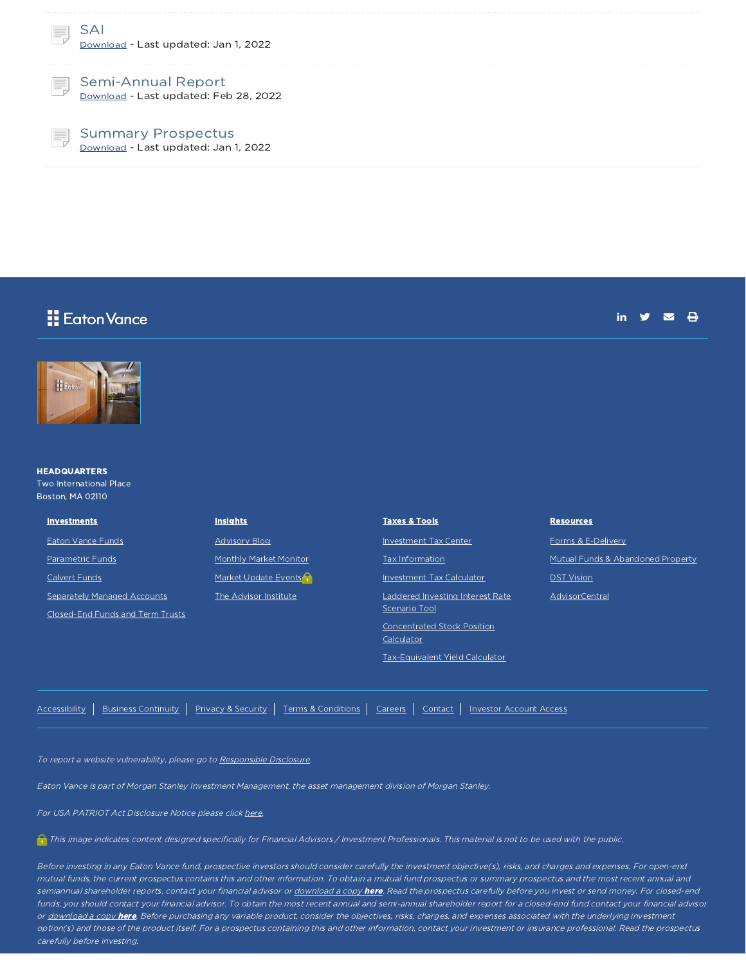

Semi-Annual Report Download - Last updated: Feb 28, 2022

Summary Prospectus Download - Last updated: Jan 1, 2022

### Eaton Vance

in  $\mathbf{y}$   $\mathbf{z}$   $\mathbf{R}$ 



**HEADQUARTERS** Two International Place

Boston, MA 02110 **Investments** 

Eaton Vance Funds

Parametric Funds

Calvert Funds

Separately Managed Accounts

Closed-End Funds and Term Trusts

| <b>Advisory Blog</b>              |
|-----------------------------------|
| <b>Monthly Market Monitor</b>     |
| Market Update Events <sup>2</sup> |
| The Advisor Institute             |

**Insights** 

| <b>Taxes &amp; Tools</b>                          |
|---------------------------------------------------|
| <b>Investment Tax Center</b>                      |
| Tax Information                                   |
| <b>Investment Tax Calculator</b>                  |
| Laddered Investing Interest Rate<br>Scenario Tool |
| Concentrated Stock Position<br>Calculator         |
| Tax-Equivalent Yield Calculator                   |

#### **Resources**

Forms & E-Delivery Mutual Funds & Abandoned Property DST Vision AdvisorCentral

Accessibility | Business Continuity | Privacy & Security | Terms & Conditions | Careers | Contact | Investor Account Access

To report a website vulnerability, please go to Responsible Disclosure.

Eaton Vance is part of Morgan Stanley Investment Management, the asset management division of Morgan Stanley.

For USA PATRIOT Act Disclosure Notice please click here.

This image indicates content designed specifically for Financial Advisors / Investment Professionals. This material is not to be used with the public.

Before investing in any Eaton Vance fund, prospective investors should consider carefully the investment objective(s), risks, and charges and expenses. For open-end mutual funds, the current prospectus contains this and other information. To obtain <sup>a</sup> mutual fund prospectus or summary prospectus and the most recent annual and semiannual shareholder reports, contact your financial advisor or <u>download a copy here</u>. Read the prospectus carefully before you invest or send money. For closed-end funds, you should contact your financial advisor. To obtain the most recent annual and semi-annual shareholder report for a closed-end fund contact your financial advisor or download a copy here. Before purchasing any variable product, consider the objectives, risks, charges, and expenses associated with the underlying investment option(s) and those of the product itself. For <sup>a</sup> prospectus containing this and other information, contact your investment or insurance professional. Read the prospectus carefully before investing.